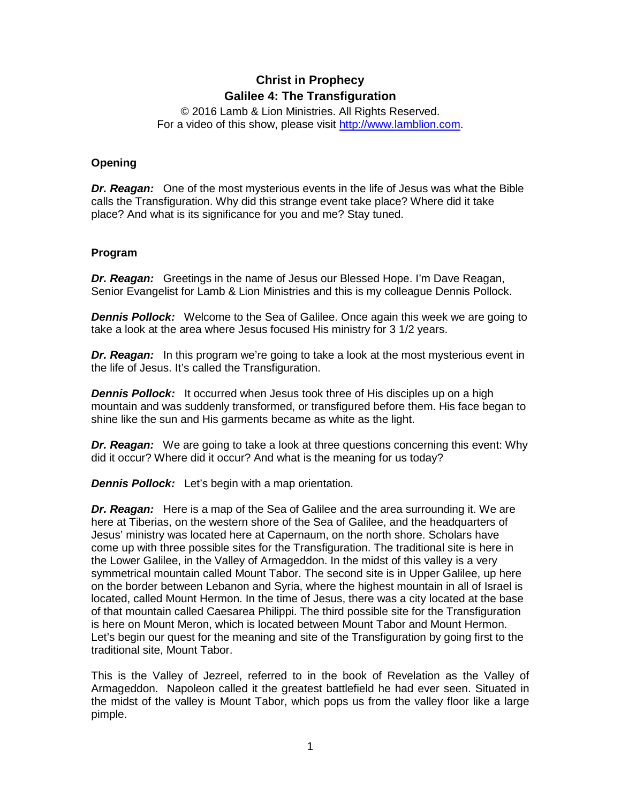# **Christ in Prophecy Galilee 4: The Transfiguration**

© 2016 Lamb & Lion Ministries. All Rights Reserved. For a video of this show, please visit [http://www.lamblion.com.](http://www.lamblion.com/)

### **Opening**

*Dr. Reagan:* One of the most mysterious events in the life of Jesus was what the Bible calls the Transfiguration. Why did this strange event take place? Where did it take place? And what is its significance for you and me? Stay tuned.

#### **Program**

*Dr. Reagan:* Greetings in the name of Jesus our Blessed Hope. I'm Dave Reagan, Senior Evangelist for Lamb & Lion Ministries and this is my colleague Dennis Pollock.

**Dennis Pollock:** Welcome to the Sea of Galilee. Once again this week we are going to take a look at the area where Jesus focused His ministry for 3 1/2 years.

*Dr. Reagan:* In this program we're going to take a look at the most mysterious event in the life of Jesus. It's called the Transfiguration.

*Dennis Pollock:* It occurred when Jesus took three of His disciples up on a high mountain and was suddenly transformed, or transfigured before them. His face began to shine like the sun and His garments became as white as the light.

*Dr. Reagan:* We are going to take a look at three questions concerning this event: Why did it occur? Where did it occur? And what is the meaning for us today?

*Dennis Pollock:* Let's begin with a map orientation.

*Dr. Reagan:* Here is a map of the Sea of Galilee and the area surrounding it. We are here at Tiberias, on the western shore of the Sea of Galilee, and the headquarters of Jesus' ministry was located here at Capernaum, on the north shore. Scholars have come up with three possible sites for the Transfiguration. The traditional site is here in the Lower Galilee, in the Valley of Armageddon. In the midst of this valley is a very symmetrical mountain called Mount Tabor. The second site is in Upper Galilee, up here on the border between Lebanon and Syria, where the highest mountain in all of Israel is located, called Mount Hermon. In the time of Jesus, there was a city located at the base of that mountain called Caesarea Philippi. The third possible site for the Transfiguration is here on Mount Meron, which is located between Mount Tabor and Mount Hermon. Let's begin our quest for the meaning and site of the Transfiguration by going first to the traditional site, Mount Tabor.

This is the Valley of Jezreel, referred to in the book of Revelation as the Valley of Armageddon. Napoleon called it the greatest battlefield he had ever seen. Situated in the midst of the valley is Mount Tabor, which pops us from the valley floor like a large pimple.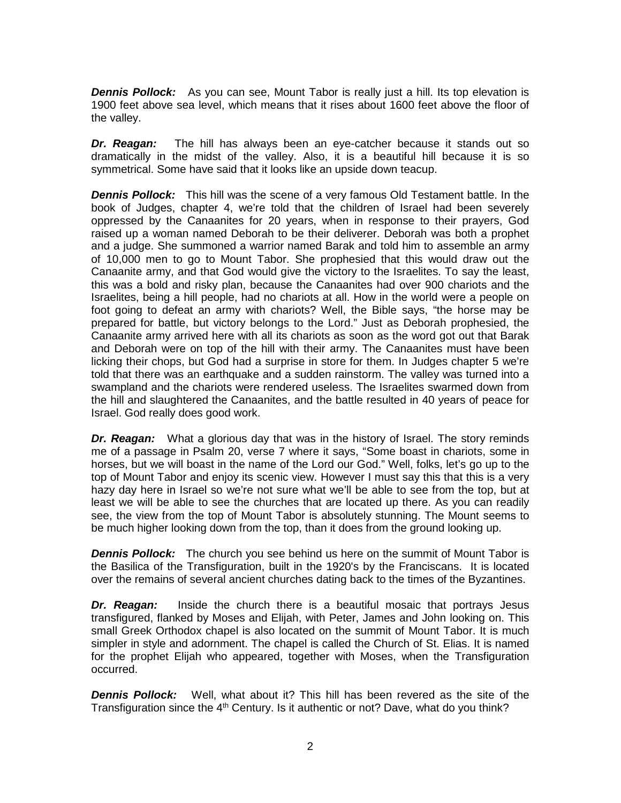*Dennis Pollock:* As you can see, Mount Tabor is really just a hill. Its top elevation is 1900 feet above sea level, which means that it rises about 1600 feet above the floor of the valley.

*Dr. Reagan:* The hill has always been an eye-catcher because it stands out so dramatically in the midst of the valley. Also, it is a beautiful hill because it is so symmetrical. Some have said that it looks like an upside down teacup.

*Dennis Pollock:* This hill was the scene of a very famous Old Testament battle. In the book of Judges, chapter 4, we're told that the children of Israel had been severely oppressed by the Canaanites for 20 years, when in response to their prayers, God raised up a woman named Deborah to be their deliverer. Deborah was both a prophet and a judge. She summoned a warrior named Barak and told him to assemble an army of 10,000 men to go to Mount Tabor. She prophesied that this would draw out the Canaanite army, and that God would give the victory to the Israelites. To say the least, this was a bold and risky plan, because the Canaanites had over 900 chariots and the Israelites, being a hill people, had no chariots at all. How in the world were a people on foot going to defeat an army with chariots? Well, the Bible says, "the horse may be prepared for battle, but victory belongs to the Lord." Just as Deborah prophesied, the Canaanite army arrived here with all its chariots as soon as the word got out that Barak and Deborah were on top of the hill with their army. The Canaanites must have been licking their chops, but God had a surprise in store for them. In Judges chapter 5 we're told that there was an earthquake and a sudden rainstorm. The valley was turned into a swampland and the chariots were rendered useless. The Israelites swarmed down from the hill and slaughtered the Canaanites, and the battle resulted in 40 years of peace for Israel. God really does good work.

*Dr. Reagan:* What a glorious day that was in the history of Israel. The story reminds me of a passage in Psalm 20, verse 7 where it says, "Some boast in chariots, some in horses, but we will boast in the name of the Lord our God." Well, folks, let's go up to the top of Mount Tabor and enjoy its scenic view. However I must say this that this is a very hazy day here in Israel so we're not sure what we'll be able to see from the top, but at least we will be able to see the churches that are located up there. As you can readily see, the view from the top of Mount Tabor is absolutely stunning. The Mount seems to be much higher looking down from the top, than it does from the ground looking up.

*Dennis Pollock:* The church you see behind us here on the summit of Mount Tabor is the Basilica of the Transfiguration, built in the 1920's by the Franciscans. It is located over the remains of several ancient churches dating back to the times of the Byzantines.

*Dr. Reagan:* Inside the church there is a beautiful mosaic that portrays Jesus transfigured, flanked by Moses and Elijah, with Peter, James and John looking on. This small Greek Orthodox chapel is also located on the summit of Mount Tabor. It is much simpler in style and adornment. The chapel is called the Church of St. Elias. It is named for the prophet Elijah who appeared, together with Moses, when the Transfiguration occurred.

*Dennis Pollock:* Well, what about it? This hill has been revered as the site of the Transfiguration since the  $4<sup>th</sup>$  Century. Is it authentic or not? Dave, what do you think?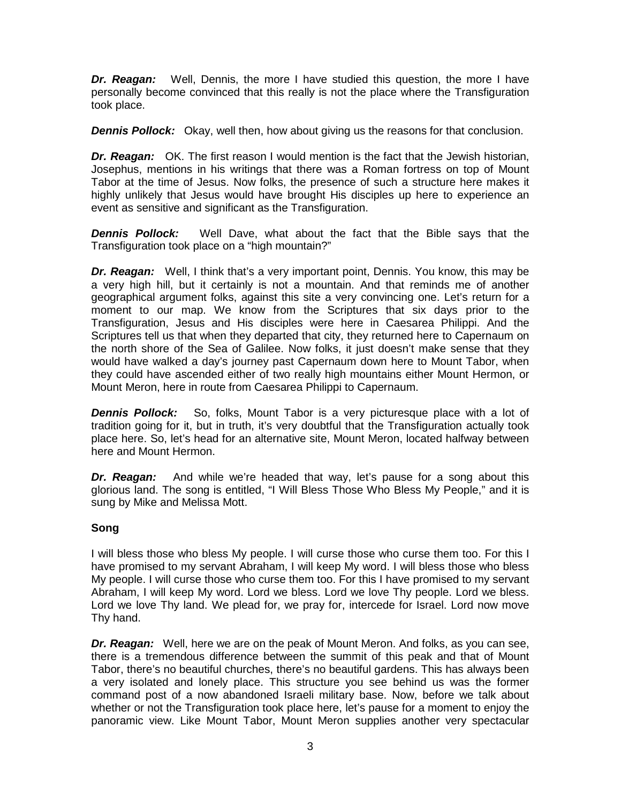*Dr. Reagan:* Well, Dennis, the more I have studied this question, the more I have personally become convinced that this really is not the place where the Transfiguration took place.

*Dennis Pollock:* Okay, well then, how about giving us the reasons for that conclusion.

*Dr. Reagan:* OK. The first reason I would mention is the fact that the Jewish historian, Josephus, mentions in his writings that there was a Roman fortress on top of Mount Tabor at the time of Jesus. Now folks, the presence of such a structure here makes it highly unlikely that Jesus would have brought His disciples up here to experience an event as sensitive and significant as the Transfiguration.

*Dennis Pollock:* Well Dave, what about the fact that the Bible says that the Transfiguration took place on a "high mountain?"

*Dr. Reagan:* Well, I think that's a very important point, Dennis. You know, this may be a very high hill, but it certainly is not a mountain. And that reminds me of another geographical argument folks, against this site a very convincing one. Let's return for a moment to our map. We know from the Scriptures that six days prior to the Transfiguration, Jesus and His disciples were here in Caesarea Philippi. And the Scriptures tell us that when they departed that city, they returned here to Capernaum on the north shore of the Sea of Galilee. Now folks, it just doesn't make sense that they would have walked a day's journey past Capernaum down here to Mount Tabor, when they could have ascended either of two really high mountains either Mount Hermon, or Mount Meron, here in route from Caesarea Philippi to Capernaum.

**Dennis Pollock:** So, folks, Mount Tabor is a very picturesque place with a lot of tradition going for it, but in truth, it's very doubtful that the Transfiguration actually took place here. So, let's head for an alternative site, Mount Meron, located halfway between here and Mount Hermon.

*Dr. Reagan:* And while we're headed that way, let's pause for a song about this glorious land. The song is entitled, "I Will Bless Those Who Bless My People," and it is sung by Mike and Melissa Mott.

## **Song**

I will bless those who bless My people. I will curse those who curse them too. For this I have promised to my servant Abraham, I will keep My word. I will bless those who bless My people. I will curse those who curse them too. For this I have promised to my servant Abraham, I will keep My word. Lord we bless. Lord we love Thy people. Lord we bless. Lord we love Thy land. We plead for, we pray for, intercede for Israel. Lord now move Thy hand.

*Dr. Reagan:* Well, here we are on the peak of Mount Meron. And folks, as you can see, there is a tremendous difference between the summit of this peak and that of Mount Tabor, there's no beautiful churches, there's no beautiful gardens. This has always been a very isolated and lonely place. This structure you see behind us was the former command post of a now abandoned Israeli military base. Now, before we talk about whether or not the Transfiguration took place here, let's pause for a moment to enjoy the panoramic view. Like Mount Tabor, Mount Meron supplies another very spectacular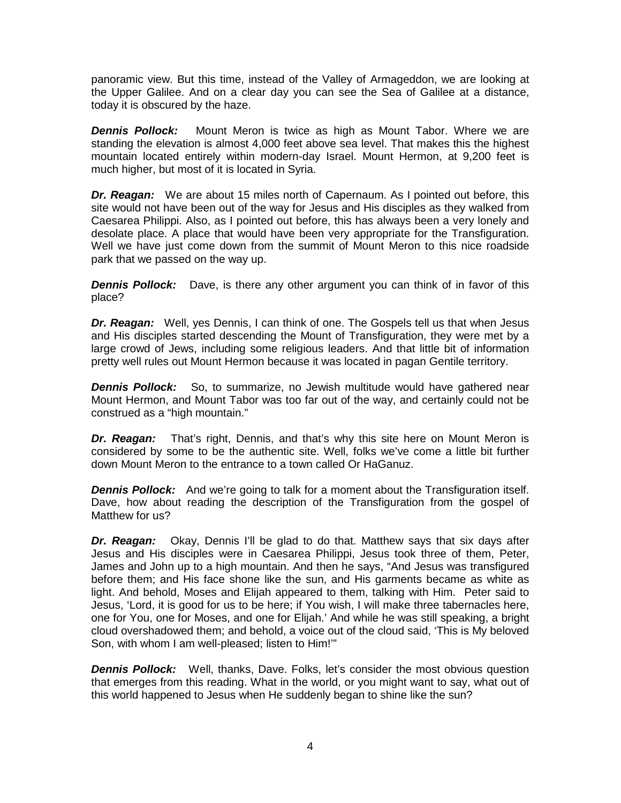panoramic view. But this time, instead of the Valley of Armageddon, we are looking at the Upper Galilee. And on a clear day you can see the Sea of Galilee at a distance, today it is obscured by the haze.

*Dennis Pollock:* Mount Meron is twice as high as Mount Tabor. Where we are standing the elevation is almost 4,000 feet above sea level. That makes this the highest mountain located entirely within modern-day Israel. Mount Hermon, at 9,200 feet is much higher, but most of it is located in Syria.

*Dr. Reagan:* We are about 15 miles north of Capernaum. As I pointed out before, this site would not have been out of the way for Jesus and His disciples as they walked from Caesarea Philippi. Also, as I pointed out before, this has always been a very lonely and desolate place. A place that would have been very appropriate for the Transfiguration. Well we have just come down from the summit of Mount Meron to this nice roadside park that we passed on the way up.

**Dennis Pollock:** Dave, is there any other argument you can think of in favor of this place?

*Dr. Reagan:* Well, yes Dennis, I can think of one. The Gospels tell us that when Jesus and His disciples started descending the Mount of Transfiguration, they were met by a large crowd of Jews, including some religious leaders. And that little bit of information pretty well rules out Mount Hermon because it was located in pagan Gentile territory.

**Dennis Pollock:** So, to summarize, no Jewish multitude would have gathered near Mount Hermon, and Mount Tabor was too far out of the way, and certainly could not be construed as a "high mountain."

*Dr. Reagan:* That's right, Dennis, and that's why this site here on Mount Meron is considered by some to be the authentic site. Well, folks we've come a little bit further down Mount Meron to the entrance to a town called Or HaGanuz.

*Dennis Pollock:* And we're going to talk for a moment about the Transfiguration itself. Dave, how about reading the description of the Transfiguration from the gospel of Matthew for us?

*Dr. Reagan:* Okay, Dennis I'll be glad to do that. Matthew says that six days after Jesus and His disciples were in Caesarea Philippi, Jesus took three of them, Peter, James and John up to a high mountain. And then he says, "And Jesus was transfigured before them; and His face shone like the sun, and His garments became as white as light. And behold, Moses and Elijah appeared to them, talking with Him. Peter said to Jesus, 'Lord, it is good for us to be here; if You wish, I will make three tabernacles here, one for You, one for Moses, and one for Elijah.' And while he was still speaking, a bright cloud overshadowed them; and behold, a voice out of the cloud said, 'This is My beloved Son, with whom I am well-pleased; listen to Him!'"

**Dennis Pollock:** Well, thanks, Dave. Folks, let's consider the most obvious question that emerges from this reading. What in the world, or you might want to say, what out of this world happened to Jesus when He suddenly began to shine like the sun?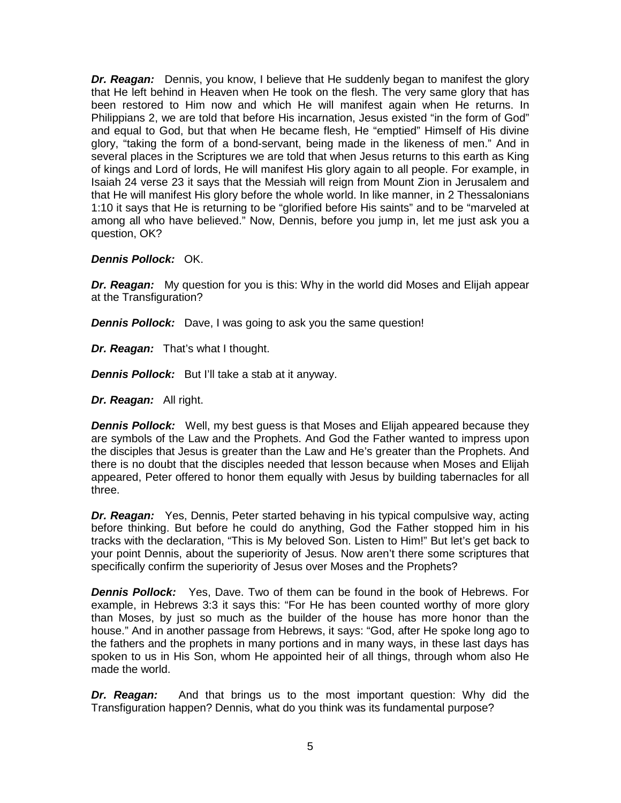*Dr. Reagan:* Dennis, you know, I believe that He suddenly began to manifest the glory that He left behind in Heaven when He took on the flesh. The very same glory that has been restored to Him now and which He will manifest again when He returns. In Philippians 2, we are told that before His incarnation, Jesus existed "in the form of God" and equal to God, but that when He became flesh, He "emptied" Himself of His divine glory, "taking the form of a bond-servant, being made in the likeness of men." And in several places in the Scriptures we are told that when Jesus returns to this earth as King of kings and Lord of lords, He will manifest His glory again to all people. For example, in Isaiah 24 verse 23 it says that the Messiah will reign from Mount Zion in Jerusalem and that He will manifest His glory before the whole world. In like manner, in 2 Thessalonians 1:10 it says that He is returning to be "glorified before His saints" and to be "marveled at among all who have believed." Now, Dennis, before you jump in, let me just ask you a question, OK?

#### *Dennis Pollock:* OK.

*Dr. Reagan:* My question for you is this: Why in the world did Moses and Elijah appear at the Transfiguration?

*Dennis Pollock:* Dave, I was going to ask you the same question!

*Dr. Reagan:* That's what I thought.

*Dennis Pollock:* But I'll take a stab at it anyway.

*Dr. Reagan:* All right.

*Dennis Pollock:* Well, my best guess is that Moses and Elijah appeared because they are symbols of the Law and the Prophets. And God the Father wanted to impress upon the disciples that Jesus is greater than the Law and He's greater than the Prophets. And there is no doubt that the disciples needed that lesson because when Moses and Elijah appeared, Peter offered to honor them equally with Jesus by building tabernacles for all three.

*Dr. Reagan:* Yes, Dennis, Peter started behaving in his typical compulsive way, acting before thinking. But before he could do anything, God the Father stopped him in his tracks with the declaration, "This is My beloved Son. Listen to Him!" But let's get back to your point Dennis, about the superiority of Jesus. Now aren't there some scriptures that specifically confirm the superiority of Jesus over Moses and the Prophets?

*Dennis Pollock:* Yes, Dave. Two of them can be found in the book of Hebrews. For example, in Hebrews 3:3 it says this: "For He has been counted worthy of more glory than Moses, by just so much as the builder of the house has more honor than the house." And in another passage from Hebrews, it says: "God, after He spoke long ago to the fathers and the prophets in many portions and in many ways, in these last days has spoken to us in His Son, whom He appointed heir of all things, through whom also He made the world.

*Dr. Reagan:* And that brings us to the most important question: Why did the Transfiguration happen? Dennis, what do you think was its fundamental purpose?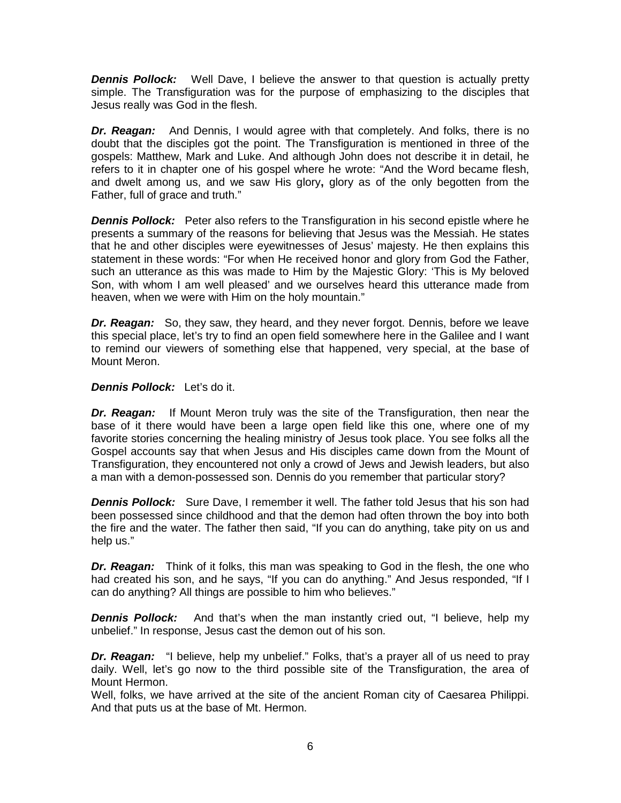**Dennis Pollock:** Well Dave, I believe the answer to that question is actually pretty simple. The Transfiguration was for the purpose of emphasizing to the disciples that Jesus really was God in the flesh.

*Dr. Reagan:* And Dennis, I would agree with that completely. And folks, there is no doubt that the disciples got the point. The Transfiguration is mentioned in three of the gospels: Matthew, Mark and Luke. And although John does not describe it in detail, he refers to it in chapter one of his gospel where he wrote: "And the Word became flesh, and dwelt among us, and we saw His glory**,** glory as of the only begotten from the Father, full of grace and truth."

*Dennis Pollock:* Peter also refers to the Transfiguration in his second epistle where he presents a summary of the reasons for believing that Jesus was the Messiah. He states that he and other disciples were eyewitnesses of Jesus' majesty. He then explains this statement in these words: "For when He received honor and glory from God the Father, such an utterance as this was made to Him by the Majestic Glory: 'This is My beloved Son, with whom I am well pleased' and we ourselves heard this utterance made from heaven, when we were with Him on the holy mountain."

*Dr. Reagan:* So, they saw, they heard, and they never forgot. Dennis, before we leave this special place, let's try to find an open field somewhere here in the Galilee and I want to remind our viewers of something else that happened, very special, at the base of Mount Meron.

*Dennis Pollock:* Let's do it.

*Dr. Reagan:* If Mount Meron truly was the site of the Transfiguration, then near the base of it there would have been a large open field like this one, where one of my favorite stories concerning the healing ministry of Jesus took place. You see folks all the Gospel accounts say that when Jesus and His disciples came down from the Mount of Transfiguration, they encountered not only a crowd of Jews and Jewish leaders, but also a man with a demon-possessed son. Dennis do you remember that particular story?

*Dennis Pollock:* Sure Dave, I remember it well. The father told Jesus that his son had been possessed since childhood and that the demon had often thrown the boy into both the fire and the water. The father then said, "If you can do anything, take pity on us and help us."

*Dr. Reagan:* Think of it folks, this man was speaking to God in the flesh, the one who had created his son, and he says, "If you can do anything." And Jesus responded, "If I can do anything? All things are possible to him who believes."

**Dennis Pollock:** And that's when the man instantly cried out, "I believe, help my unbelief." In response, Jesus cast the demon out of his son.

*Dr. Reagan:* "I believe, help my unbelief." Folks, that's a prayer all of us need to pray daily. Well, let's go now to the third possible site of the Transfiguration, the area of Mount Hermon.

Well, folks, we have arrived at the site of the ancient Roman city of Caesarea Philippi. And that puts us at the base of Mt. Hermon.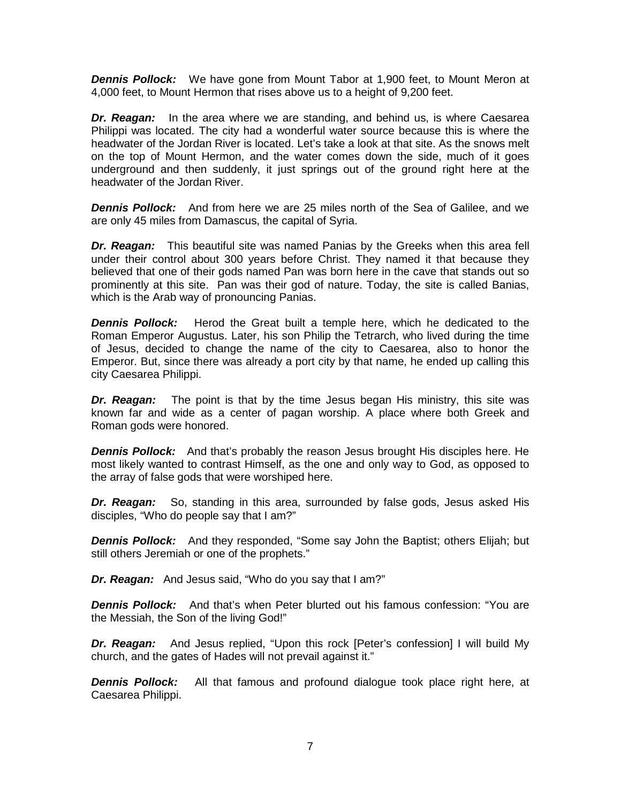*Dennis Pollock:* We have gone from Mount Tabor at 1,900 feet, to Mount Meron at 4,000 feet, to Mount Hermon that rises above us to a height of 9,200 feet.

*Dr. Reagan:* In the area where we are standing, and behind us, is where Caesarea Philippi was located. The city had a wonderful water source because this is where the headwater of the Jordan River is located. Let's take a look at that site. As the snows melt on the top of Mount Hermon, and the water comes down the side, much of it goes underground and then suddenly, it just springs out of the ground right here at the headwater of the Jordan River.

*Dennis Pollock:* And from here we are 25 miles north of the Sea of Galilee, and we are only 45 miles from Damascus, the capital of Syria.

*Dr. Reagan:* This beautiful site was named Panias by the Greeks when this area fell under their control about 300 years before Christ. They named it that because they believed that one of their gods named Pan was born here in the cave that stands out so prominently at this site. Pan was their god of nature. Today, the site is called Banias, which is the Arab way of pronouncing Panias.

*Dennis Pollock:* Herod the Great built a temple here, which he dedicated to the Roman Emperor Augustus. Later, his son Philip the Tetrarch, who lived during the time of Jesus, decided to change the name of the city to Caesarea, also to honor the Emperor. But, since there was already a port city by that name, he ended up calling this city Caesarea Philippi.

*Dr. Reagan:* The point is that by the time Jesus began His ministry, this site was known far and wide as a center of pagan worship. A place where both Greek and Roman gods were honored.

**Dennis Pollock:** And that's probably the reason Jesus brought His disciples here. He most likely wanted to contrast Himself, as the one and only way to God, as opposed to the array of false gods that were worshiped here.

*Dr. Reagan:* So, standing in this area, surrounded by false gods, Jesus asked His disciples, "Who do people say that I am?"

*Dennis Pollock:* And they responded, "Some say John the Baptist; others Elijah; but still others Jeremiah or one of the prophets."

*Dr. Reagan:* And Jesus said, "Who do you say that I am?"

*Dennis Pollock:* And that's when Peter blurted out his famous confession: "You are the Messiah, the Son of the living God!"

*Dr. Reagan:* And Jesus replied, "Upon this rock [Peter's confession] I will build My church, and the gates of Hades will not prevail against it."

**Dennis Pollock:** All that famous and profound dialogue took place right here, at Caesarea Philippi.